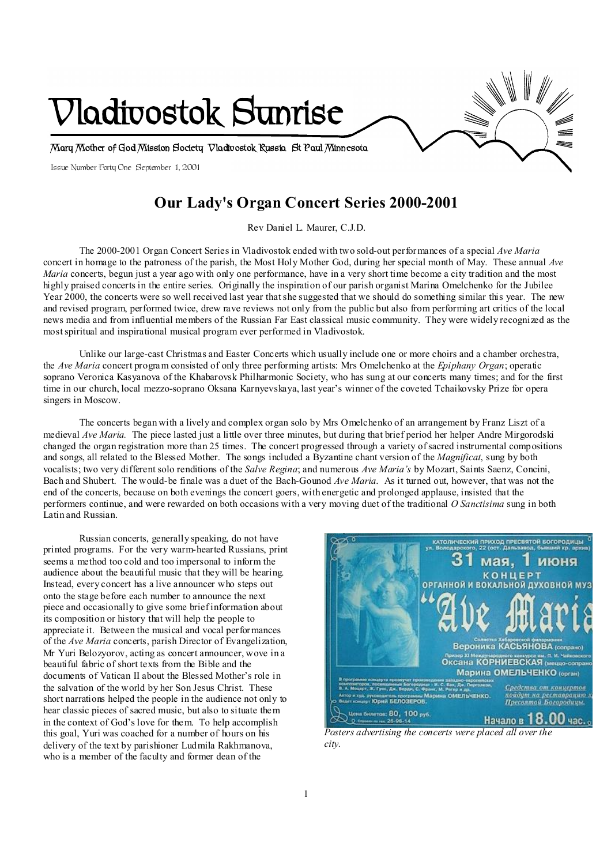

# **Our Lady's Organ Concert Series 2000-2001**

Rev Daniel L. Maurer, C.J.D.

The 2000-2001 Organ Concert Series in Vladivostok ended with two sold-out performances of a special *Ave Maria* concert in homage to the patroness of the parish, the Most Holy Mother God, during her special month of May. These annual *Ave Maria* concerts, begun just a year ago with only one performance, have in a very short time become a city tradition and the most highly praised concerts in the entire series. Originally the inspiration of our parish organist Marina Omelchenko for the Jubilee Year 2000, the concerts were so well received last year thatshe suggested that we should do something similar this year. The new and revised program, performed twice, drew rave reviews not only from the public but also from performing art critics of the local news media and from influential members of the Russian Far East classical music community. They were widely recognized as the mostspiritual and inspirational musical program ever performed in Vladivostok.

Unlike our large-cast Christmas and Easter Concerts which usually include one or more choirs and a chamber orchestra, the *Ave Maria* concert program consisted of only three performing artists: Mrs Omelchenko at the *Epiphany Organ*; operatic soprano Veronica Kasyanova of the Khabarovsk Philharmonic Society, who has sung at our concerts many times; and for the first time in our church, local mezzo-soprano Oksana Karnyevskaya, last year's winner of the coveted Tchaikovsky Prize for opera singers in Moscow.

The concerts began with a lively and complex organ solo by Mrs Omelchenko of an arrangement by Franz Liszt of a medieval *Ave Maria.* The piece lasted just a little over three minutes, but during that brief period her helper Andre Mirgorodski changed the organ registration more than 25 times. The concert progressed through a variety ofsacred instrumental compositions and songs, all related to the Blessed Mother. The songs included a Byzantine chant version of the *Magnificat*, sung by both vocalists; two very different solo renditions of the *Salve Regina*; and numerous *Ave Maria's* by Mozart, Saints Saenz, Concini, Bach and Shubert. The would-be finale was a duet of the Bach-Gounod *Ave Maria*. As it turned out, however, that was not the end of the concerts, because on both evenings the concert goers, with energetic and prolonged applause, insisted that the performers continue, and were rewarded on both occasions with a very moving duet of the traditional *O Sanctisima* sung in both Latin and Russian.

Russian concerts, generally speaking, do not have printed programs. For the very warm-hearted Russians, print seems a method too cold and too impersonal to inform the audience about the beautiful music that they will be hearing. Instead, every concert has a live announcer who steps out onto the stage before each number to announce the next piece and occasionally to give some brief information about its composition or history that will help the people to appreciate it. Between the musical and vocal performances of the *Ave Maria* concerts, parish Director of Evangelization, Mr Yuri Belozyorov, acting as concert announcer, wove in a beautiful fabric of short texts from the Bible and the documents of Vatican II about the Blessed Mother's role in the salvation of the world by her Son Jesus Christ. These short narrations helped the people in the audience not only to hear classic pieces of sacred music, but also to situate them in the context of God's love for them. To help accomplish this goal, Yuri was coached for a number of hours on his delivery of the text by parishioner Ludmila Rakhmanova, who is a member of the faculty and former dean of the



*Posters advertising the concerts were placed all over the city.*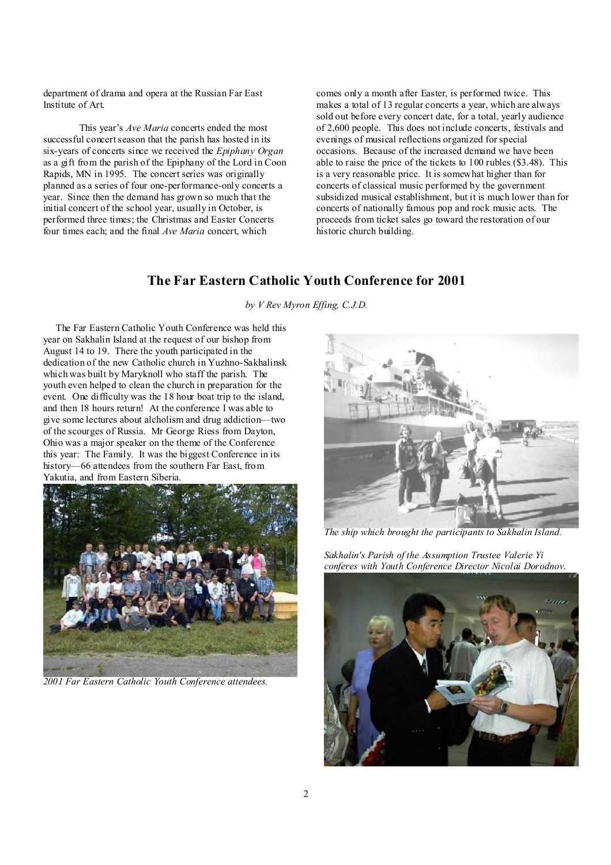department of drama and opera at the Russian Far East Institute of Art.

This year's *Ave Maria* concerts ended the most successful concertseason that the parish has hosted in its six-years of concerts since we received the *Epiphany Organ*  as a gift from the parish of the Epiphany of the Lord in Coon Rapids, MN in 1995. The concert series was originally planned as a series of four one-performance-only concerts a year. Since then the demand has grown so much that the initial concert of the school year, usually in October, is performed three times; the Christmas and Easter Concerts four times each; and the final *Ave Maria* concert, which

comes only a month after Easter, is performed twice. This makes a total of 13 regular concerts a year, which are always sold out before every concert date, for a total, yearly audience of 2,600 people. This does not include concerts, festivals and evenings of musical reflections organized for special occasions. Because of the increased demand we have been able to raise the price of the tickets to 100 rubles (\$3.48). This is a very reasonable price. It is somewhat higher than for concerts of classical music performed by the government subsidized musical establishment, but it is much lower than for concerts of nationally famous pop and rock music acts. The proceeds from ticket sales go toward the restoration of our historic church building.

### **The Far Eastern Catholic Youth Conference for 2001**

*by V Rev Myron Effing, C.J.D.* 

 The Far Eastern Catholic Youth Conference was held this year on Sakhalin Island at the request of our bishop from August 14 to 19. There the youth participated in the dedication of the new Catholic church in Yuzhno-Sakhalinsk which was built by Maryknoll who staff the parish. The youth even helped to clean the church in preparation for the event. One difficulty was the 18 hour boat trip to the island, and then 18 hours return! At the conference I was able to give some lectures about alcholism and drug addiction—two of the scourges of Russia. Mr George Riess from Dayton, Ohio was a major speaker on the theme of the Conference this year: The Family. It was the biggest Conference in its history—66 attendees from the southern Far East, from Yakutia, and from Eastern Siberia.



*2001 Far Eastern Catholic Youth Conference attendees.* 



*The ship which brought the participants to Sakhalin Island.* 

*Sakhalin's Parish of the Assumption Trustee Valerie Yi conferes with Youth Conference Director Nicolai Dorodnov.* 

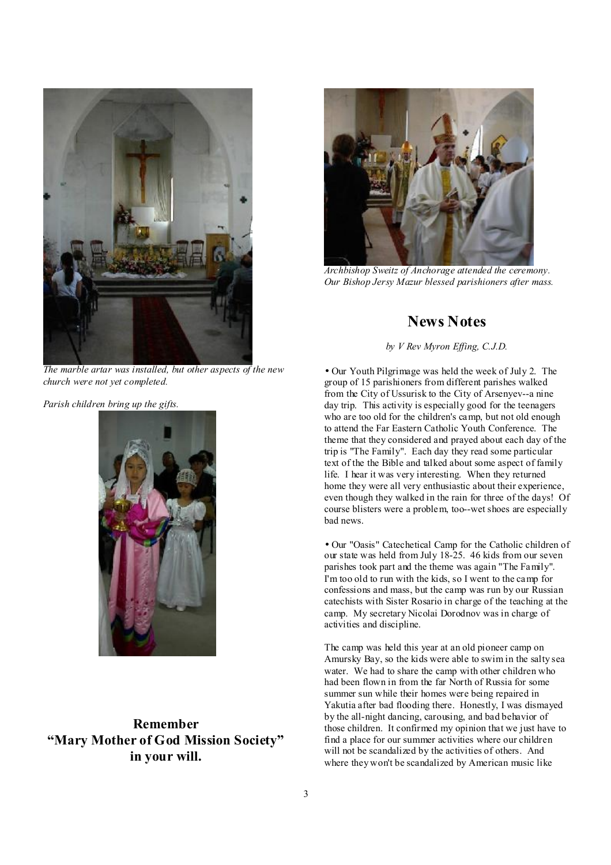



*Archbishop Sweitz of Anchorage attended the ceremony. Our Bishop Jersy Mazur blessed parishioners after mass.* 

### **News Notes**

#### *by V Rev Myron Effing, C.J.D.*

*The marble artar was installed, but other aspects of the new church were not yet completed.* 

*Parish children bring up the gifts.* 



**Remember "Mary Mother of God Mission Society" in your will.** 

• Our Youth Pilgrimage was held the week of July 2. The group of 15 parishioners from different parishes walked from the City of Ussurisk to the City of Arsenyev--a nine day trip. This activity is especially good for the teenagers who are too old for the children's camp, but not old enough to attend the Far Eastern Catholic Youth Conference. The theme that they considered and prayed about each day of the trip is "The Family". Each day they read some particular text of the the Bible and talked about some aspect of family life. I hear it was very interesting. When they returned home they were all very enthusiastic about their experience, even though they walked in the rain for three of the days! Of course blisters were a problem, too--wet shoes are especially bad news.

• Our "Oasis" Catechetical Camp for the Catholic children of our state was held from July 18-25. 46 kids from our seven parishes took part and the theme was again "The Family". I'm too old to run with the kids, so I went to the camp for confessions and mass, but the camp was run by our Russian catechists with Sister Rosario in charge of the teaching at the camp. My secretary Nicolai Dorodnov was in charge of activities and discipline.

The camp was held this year at an old pioneer camp on Amursky Bay, so the kids were able to swim in the salty sea water. We had to share the camp with other children who had been flown in from the far North of Russia for some summer sun while their homes were being repaired in Yakutia after bad flooding there. Honestly, I was dismayed by the all-night dancing, carousing, and bad behavior of those children. It confirmed my opinion that we just have to find a place for our summer activities where our children will not be scandalized by the activities of others. And where they won't be scandalized by American music like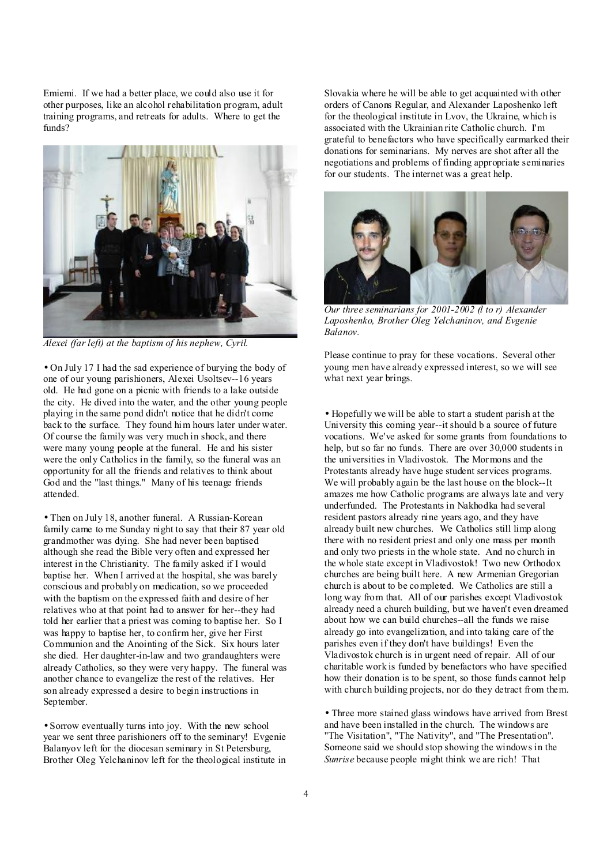Emiemi. If we had a better place, we could also use it for other purposes, like an alcohol rehabilitation program, adult training programs, and retreats for adults. Where to get the funds?



*Alexei (far left) at the baptism of his nephew, Cyril.* 

• On July 17 I had the sad experience of burying the body of one of our young parishioners, Alexei Usoltsev--16 years old. He had gone on a picnic with friends to a lake outside the city. He dived into the water, and the other young people playing in the same pond didn't notice that he didn't come back to the surface. They found him hours later under water. Of course the family was very much in shock, and there were many young people at the funeral. He and his sister were the only Catholics in the family, so the funeral was an opportunity for all the friends and relatives to think about God and the "last things." Many of his teenage friends attended.

• Then on July 18, another funeral. A Russian-Korean family came to me Sunday night to say that their 87 year old grandmother was dying. She had never been baptised although she read the Bible very often and expressed her interest in the Christianity. The family asked if I would baptise her. When I arrived at the hospital, she was barely conscious and probably on medication, so we proceeded with the baptism on the expressed faith and desire of her relatives who at that point had to answer for her--they had told her earlier that a priest was coming to baptise her. So I was happy to baptise her, to confirm her, give her First Communion and the Anointing of the Sick. Six hours later she died. Her daughter-in-law and two grandaughters were already Catholics, so they were very happy. The funeral was another chance to evangelize the rest of the relatives. Her son already expressed a desire to begin instructions in September.

• Sorrow eventually turns into joy. With the new school year we sent three parishioners off to the seminary! Evgenie Balanyov left for the diocesan seminary in St Petersburg, Brother Oleg Yelchaninov left for the theological institute in Slovakia where he will be able to get acquainted with other orders of Canons Regular, and Alexander Laposhenko left for the theological institute in Lvov, the Ukraine, which is associated with the Ukrainian rite Catholic church. I'm grateful to benefactors who have specifically earmarked their donations for seminarians. My nerves are shot after all the negotiations and problems of finding appropriate seminaries for our students. The internet was a great help.



*Our three seminarians for 2001-2002 (l to r) Alexander Laposhenko, Brother Oleg Yelchaninov, and Evgenie Balanov.* 

Please continue to pray for these vocations. Several other young men have already expressed interest, so we will see what next year brings.

• Hopefully we will be able to start a student parish at the University this coming year--it should b a source of future vocations. We've asked for some grants from foundations to help, but so far no funds. There are over 30,000 students in the universities in Vladivostok. The Mormons and the Protestants already have huge student services programs. We will probably again be the last house on the block--It amazes me how Catholic programs are always late and very underfunded. The Protestants in Nakhodka had several resident pastors already nine years ago, and they have already built new churches. We Catholics still limp along there with no resident priest and only one mass per month and only two priests in the whole state. And no church in the whole state except in Vladivostok! Two new Orthodox churches are being built here. A new Armenian Gregorian church is about to be completed. We Catholics are still a long way from that. All of our parishes except Vladivostok already need a church building, but we haven't even dreamed about how we can build churches--all the funds we raise already go into evangelization, and into taking care of the parishes even if they don't have buildings! Even the Vladivostok church is in urgent need of repair. All of our charitable work is funded by benefactors who have specified how their donation is to be spent, so those funds cannot help with church building projects, nor do they detract from them.

• Three more stained glass windows have arrived from Brest and have been installed in the church. The windows are "The Visitation", "The Nativity", and "The Presentation". Someone said we should stop showing the windows in the *Sunrise* because people might think we are rich! That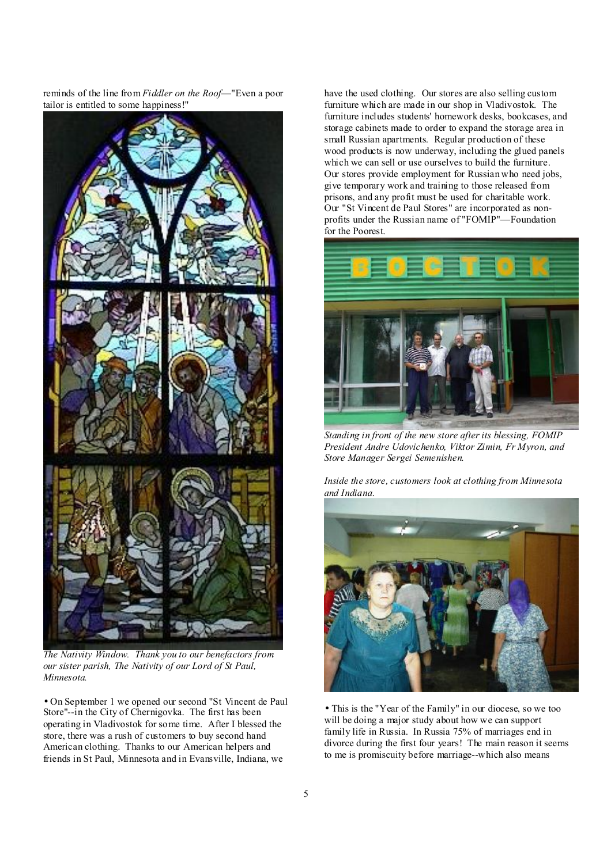reminds of the line from *Fiddler on the Roof*—"Even a poor tailor is entitled to some happiness!"



*The Nativity Window. Thank you to our benefactors from our sister parish, The Nativity of our Lord of St Paul, Minnesota.* 

• On September 1 we opened our second "St Vincent de Paul Store"--in the City of Chernigovka. The first has been operating in Vladivostok for some time. After I blessed the store, there was a rush of customers to buy second hand American clothing. Thanks to our American helpers and friends in St Paul, Minnesota and in Evansville, Indiana, we

have the used clothing. Our stores are also selling custom furniture which are made in our shop in Vladivostok. The furniture includes students' homework desks, bookcases, and storage cabinets made to order to expand the storage area in small Russian apartments. Regular production of these wood products is now underway, including the glued panels which we can sell or use ourselves to build the furniture. Our stores provide employment for Russian who need jobs, give temporary work and training to those released from prisons, and any profit must be used for charitable work. Our "St Vincent de Paul Stores" are incorporated as nonprofits under the Russian name of "FOMIP"—Foundation for the Poorest.



*Standing in front of the new store after its blessing, FOMIP President Andre Udovichenko, Viktor Zimin, Fr Myron, and Store Manager Sergei Semenishen.* 

*Inside the store, customers look at clothing from Minnesota and Indiana.* 



• This is the "Year of the Family" in our diocese, so we too will be doing a major study about how we can support family life in Russia. In Russia 75% of marriages end in divorce during the first four years! The main reason it seems to me is promiscuity before marriage--which also means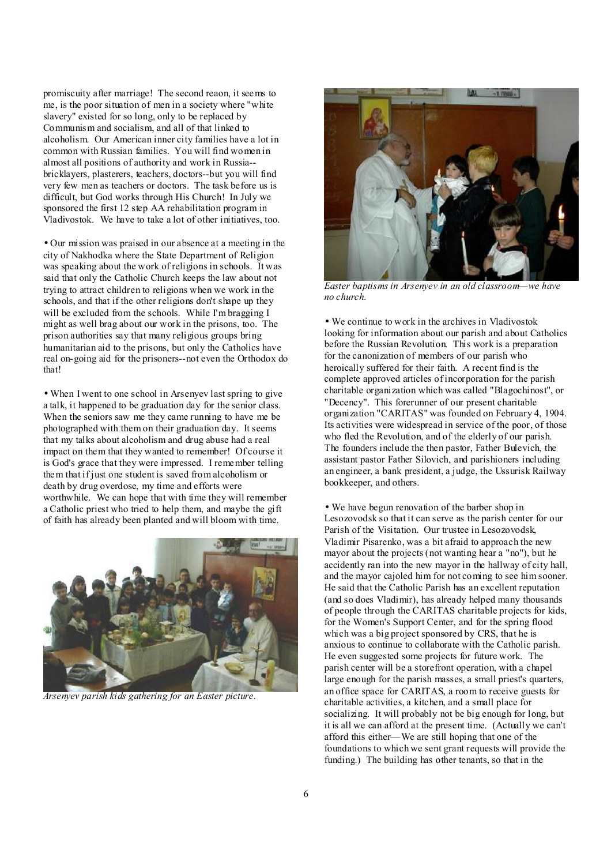promiscuity after marriage! The second reaon, it seems to me, is the poor situation of men in a society where "white slavery" existed for so long, only to be replaced by Communism and socialism, and all of that linked to alcoholism. Our American inner city families have a lot in common with Russian families. You will find women in almost all positions of authority and work in Russia- bricklayers, plasterers, teachers, doctors--but you will find very few men as teachers or doctors. The task before us is difficult, but God works through His Church! In July we sponsored the first 12 step AA rehabilitation program in Vladivostok. We have to take a lot of other initiatives, too.

• Our mission was praised in our absence at a meeting in the city of Nakhodka where the State Department of Religion was speaking about the work of religions in schools. It was said that only the Catholic Church keeps the law about not trying to attract children to religions when we work in the schools, and that if the other religions don't shape up they will be excluded from the schools. While I'm bragging I might as well brag about our work in the prisons, too. The prison authorities say that many religious groups bring humanitarian aid to the prisons, but only the Catholics have real on-going aid for the prisoners--not even the Orthodox do that!

• When I went to one school in Arsenyev last spring to give a talk, it happened to be graduation day for the senior class. When the seniors saw me they came running to have me be photographed with them on their graduation day. It seems that my talks about alcoholism and drug abuse had a real impact on them that they wanted to remember! Of course it is God's grace that they were impressed. I remember telling them that if just one student is saved from alcoholism or death by drug overdose, my time and efforts were worthwhile. We can hope that with time they will remember a Catholic priest who tried to help them, and maybe the gift of faith has already been planted and will bloom with time.



*Arsenyev parish kids gathering for an Easter picture.* 



*Easter baptisms in Arsenyev in an old classroom—we have no church.* 

• We continue to work in the archives in Vladivostok looking for information about our parish and about Catholics before the Russian Revolution. This work is a preparation for the canonization of members of our parish who heroically suffered for their faith. A recent find is the complete approved articles of incorporation for the parish charitable organization which was called "Blagochinost", or "Decency". This forerunner of our present charitable organization "CARITAS" was founded on February 4, 1904. Its activities were widespread in service of the poor, of those who fled the Revolution, and of the elderly of our parish. The founders include the then pastor, Father Bulevich, the assistant pastor Father Silovich, and parishioners including an engineer, a bank president, a judge, the Ussurisk Railway bookkeeper, and others.

• We have begun renovation of the barber shop in Lesozovodsk so that it can serve as the parish center for our Parish of the Visitation. Our trustee in Lesozovodsk, Vladimir Pisarenko, was a bit afraid to approach the new mayor about the projects (not wanting hear a "no"), but he accidently ran into the new mayor in the hallway of city hall, and the mayor cajoled him for not coming to see him sooner. He said that the Catholic Parish has an excellent reputation (and so does Vladimir), has already helped many thousands of people through the CARITAS charitable projects for kids, for the Women's Support Center, and for the spring flood which was a big project sponsored by CRS, that he is anxious to continue to collaborate with the Catholic parish. He even suggested some projects for future work. The parish center will be a storefront operation, with a chapel large enough for the parish masses, a small priest's quarters, an office space for CARITAS, a room to receive guests for charitable activities, a kitchen, and a small place for socializing. It will probably not be big enough for long, but it is all we can afford at the present time. (Actually we can't afford this either—We are still hoping that one of the foundations to which we sent grant requests will provide the funding.) The building has other tenants, so that in the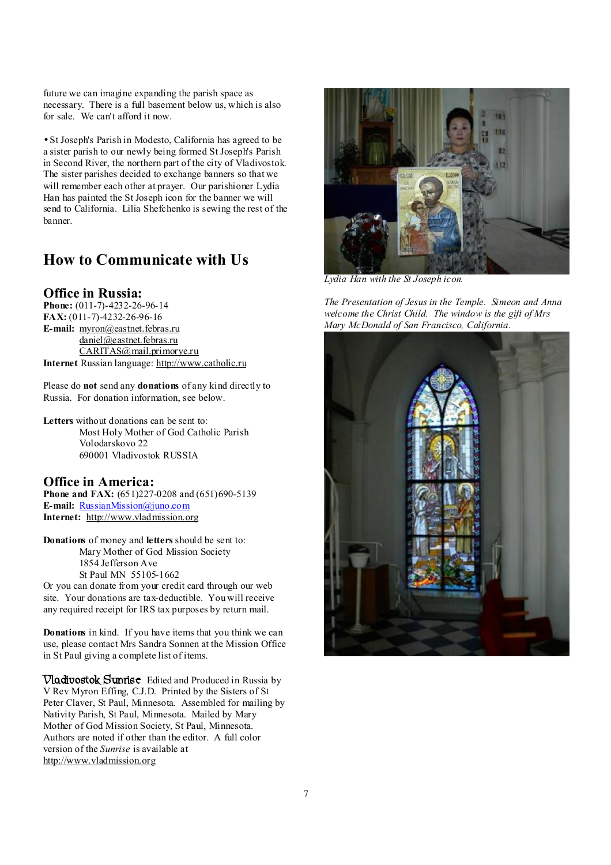future we can imagine expanding the parish space as necessary. There is a full basement below us, which is also for sale. We can't afford it now.

• St Joseph's Parish in Modesto, California has agreed to be a sister parish to our newly being formed St Joseph's Parish in Second River, the northern part of the city of Vladivostok. The sister parishes decided to exchange banners so that we will remember each other at prayer. Our parishioner Lydia Han has painted the St Joseph icon for the banner we will send to California. Lilia Shefchenko is sewing the rest of the banner.

## **How to Communicate with Us**

#### **Office in Russia:**

**Phone:** (011-7)-4232-26-96-14 **FAX:** (011-7)-4232-26-96-16 **E-mail:** [myron@eastnet.febras.ru](mailto:myron@eastnet.febras.ru) [daniel@eastnet.febras.ru](mailto:daniel@eastnet.febras.ru) [CARITAS@mail.primorye.ru](mailto:CARITAS@mail.primorye.ru) **Internet** Russian language:<http://www.catholic.ru>

Please do **not** send any **donations** of any kind directly to Russia. For donation information, see below.

**Letters** without donations can be sent to: Most Holy Mother of God Catholic Parish Volodarskovo 22 690001 Vladivostok RUSSIA

#### **Office in America:**

**Phone and FAX:** (651)227-0208 and (651)690-5139 **E-mail:** [RussianMission@juno.com](mailto:RussianMission@juno.com) **Internet:** <http://www.vladmission.org>

**Donations** of money and **letters** should be sent to: Mary Mother of God Mission Society 1854 Jefferson Ave St Paul MN 55105-1662

Or you can donate from your credit card through our web site. Your donations are tax-deductible. You will receive any required receipt for IRS tax purposes by return mail.

**Donations** in kind. If you have items that you think we can use, please contact Mrs Sandra Sonnen at the Mission Office in St Paul giving a complete list of items.

**Vladivostok Sunrise** Edited and Produced in Russia by V Rev Myron Effing, C.J.D. Printed by the Sisters of St Peter Claver, St Paul, Minnesota. Assembled for mailing by Nativity Parish, St Paul, Minnesota. Mailed by Mary Mother of God Mission Society, St Paul, Minnesota. Authors are noted if other than the editor. A full color version of the *Sunrise* is available at <http://www.vladmission.org>



*Lydia Han with the St Joseph icon.* 

*The Presentation of Jesus in the Temple. Simeon and Anna welcome the Christ Child. The window is the gift of Mrs Mary McDonald of San Francisco, California.*